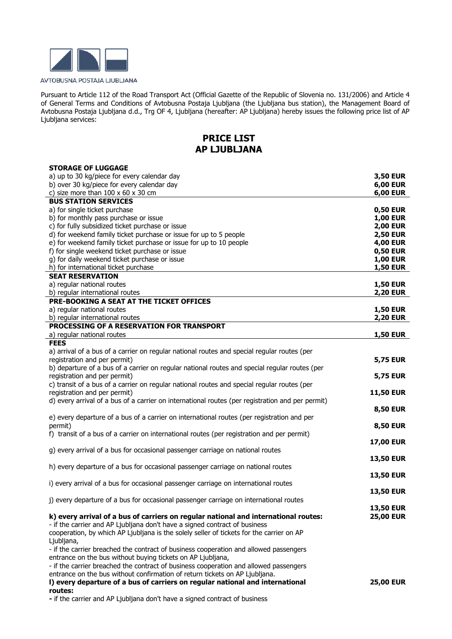

Pursuant to Article 112 of the Road Transport Act (Official Gazette of the Republic of Slovenia no. 131/2006) and Article 4 of General Terms and Conditions of Avtobusna Postaja Ljubljana (the Ljubljana bus station), the Management Board of Avtobusna Postaja Ljubljana d.d., Trg OF 4, Ljubljana (hereafter: AP Ljubljana) hereby issues the following price list of AP Ljubljana services:

## **PRICE LIST AP LJUBLJANA**

| <b>STORAGE OF LUGGAGE</b>                                                                                                                                         |                                      |
|-------------------------------------------------------------------------------------------------------------------------------------------------------------------|--------------------------------------|
| a) up to 30 kg/piece for every calendar day                                                                                                                       | <b>3,50 EUR</b>                      |
| b) over 30 kg/piece for every calendar day                                                                                                                        | <b>6,00 EUR</b>                      |
| c) size more than $100 \times 60 \times 30$ cm<br><b>BUS STATION SERVICES</b>                                                                                     | <b>6,00 EUR</b>                      |
| a) for single ticket purchase                                                                                                                                     | <b>0,50 EUR</b>                      |
| b) for monthly pass purchase or issue                                                                                                                             | <b>1,00 EUR</b>                      |
| c) for fully subsidized ticket purchase or issue                                                                                                                  | <b>2,00 EUR</b>                      |
| d) for weekend family ticket purchase or issue for up to 5 people                                                                                                 | <b>2,50 EUR</b>                      |
| e) for weekend family ticket purchase or issue for up to 10 people                                                                                                | <b>4,00 EUR</b>                      |
| f) for single weekend ticket purchase or issue                                                                                                                    | <b>0,50 EUR</b>                      |
| g) for daily weekend ticket purchase or issue                                                                                                                     | <b>1,00 EUR</b>                      |
| h) for international ticket purchase                                                                                                                              | <b>1,50 EUR</b>                      |
| <b>SEAT RESERVATION</b>                                                                                                                                           |                                      |
| a) regular national routes                                                                                                                                        | <b>1,50 EUR</b>                      |
| b) regular international routes                                                                                                                                   | <b>2,20 EUR</b>                      |
| PRE-BOOKING A SEAT AT THE TICKET OFFICES                                                                                                                          |                                      |
| a) regular national routes                                                                                                                                        | <b>1,50 EUR</b>                      |
| b) regular international routes<br>PROCESSING OF A RESERVATION FOR TRANSPORT                                                                                      | <b>2,20 EUR</b>                      |
| a) regular national routes                                                                                                                                        | <b>1,50 EUR</b>                      |
| <b>FEES</b>                                                                                                                                                       |                                      |
| a) arrival of a bus of a carrier on regular national routes and special regular routes (per                                                                       |                                      |
| registration and per permit)                                                                                                                                      | <b>5,75 EUR</b>                      |
| b) departure of a bus of a carrier on regular national routes and special regular routes (per                                                                     |                                      |
| registration and per permit)                                                                                                                                      | <b>5,75 EUR</b>                      |
| c) transit of a bus of a carrier on regular national routes and special regular routes (per                                                                       |                                      |
| registration and per permit)                                                                                                                                      | <b>11,50 EUR</b>                     |
| d) every arrival of a bus of a carrier on international routes (per registration and per permit)                                                                  |                                      |
|                                                                                                                                                                   | <b>8,50 EUR</b>                      |
| e) every departure of a bus of a carrier on international routes (per registration and per                                                                        |                                      |
| permit)<br>f) transit of a bus of a carrier on international routes (per registration and per permit)                                                             | <b>8,50 EUR</b>                      |
|                                                                                                                                                                   | <b>17,00 EUR</b>                     |
| g) every arrival of a bus for occasional passenger carriage on national routes                                                                                    |                                      |
|                                                                                                                                                                   | <b>13,50 EUR</b>                     |
| h) every departure of a bus for occasional passenger carriage on national routes                                                                                  |                                      |
|                                                                                                                                                                   | <b>13,50 EUR</b>                     |
| i) every arrival of a bus for occasional passenger carriage on international routes                                                                               |                                      |
|                                                                                                                                                                   | <b>13,50 EUR</b>                     |
| j) every departure of a bus for occasional passenger carriage on international routes                                                                             |                                      |
|                                                                                                                                                                   | <b>13,50 EUR</b><br><b>25,00 EUR</b> |
| k) every arrival of a bus of carriers on regular national and international routes:<br>- if the carrier and AP Ljubljana don't have a signed contract of business |                                      |
| cooperation, by which AP Ljubljana is the solely seller of tickets for the carrier on AP                                                                          |                                      |
| Ljubljana,                                                                                                                                                        |                                      |
| - if the carrier breached the contract of business cooperation and allowed passengers                                                                             |                                      |
| entrance on the bus without buying tickets on AP Ljubljana,                                                                                                       |                                      |
| - if the carrier breached the contract of business cooperation and allowed passengers                                                                             |                                      |
| entrance on the bus without confirmation of return tickets on AP Ljubljana.                                                                                       |                                      |
| I) every departure of a bus of carriers on regular national and international                                                                                     | <b>25,00 EUR</b>                     |
| routes:                                                                                                                                                           |                                      |

**-** if the carrier and AP Ljubljana don't have a signed contract of business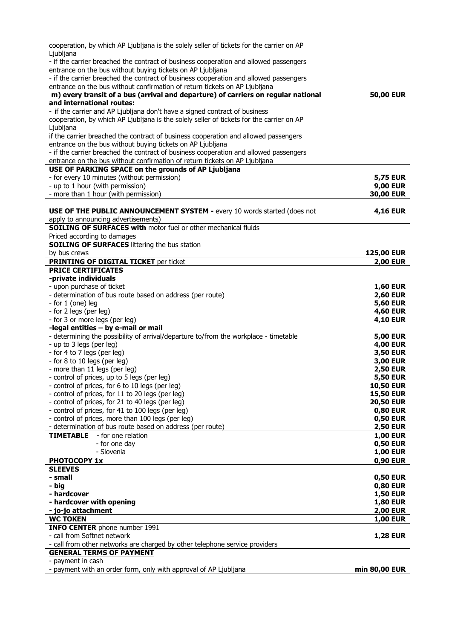| cooperation, by which AP Ljubljana is the solely seller of tickets for the carrier on AP                         |                                    |
|------------------------------------------------------------------------------------------------------------------|------------------------------------|
| Ljubljana                                                                                                        |                                    |
| - if the carrier breached the contract of business cooperation and allowed passengers                            |                                    |
| entrance on the bus without buying tickets on AP Ljubljana                                                       |                                    |
| - if the carrier breached the contract of business cooperation and allowed passengers                            |                                    |
| entrance on the bus without confirmation of return tickets on AP Ljubljana                                       |                                    |
| m) every transit of a bus (arrival and departure) of carriers on regular national<br>and international routes:   | <b>50,00 EUR</b>                   |
| - if the carrier and AP Ljubljana don't have a signed contract of business                                       |                                    |
| cooperation, by which AP Ljubljana is the solely seller of tickets for the carrier on AP                         |                                    |
| Ljubljana                                                                                                        |                                    |
| if the carrier breached the contract of business cooperation and allowed passengers                              |                                    |
| entrance on the bus without buying tickets on AP Ljubljana                                                       |                                    |
| - if the carrier breached the contract of business cooperation and allowed passengers                            |                                    |
| entrance on the bus without confirmation of return tickets on AP Ljubljana                                       |                                    |
| USE OF PARKING SPACE on the grounds of AP Ljubljana                                                              |                                    |
| - for every 10 minutes (without permission)                                                                      | <b>5,75 EUR</b>                    |
| - up to 1 hour (with permission)                                                                                 | <b>9,00 EUR</b>                    |
| - more than 1 hour (with permission)                                                                             | <b>30,00 EUR</b>                   |
|                                                                                                                  |                                    |
| <b>USE OF THE PUBLIC ANNOUNCEMENT SYSTEM - every 10 words started (does not</b>                                  | <b>4,16 EUR</b>                    |
| apply to announcing advertisements)                                                                              |                                    |
| <b>SOILING OF SURFACES with motor fuel or other mechanical fluids</b><br>Priced according to damages             |                                    |
| <b>SOILING OF SURFACES littering the bus station</b>                                                             |                                    |
| by bus crews                                                                                                     | <b>125,00 EUR</b>                  |
| <b>PRINTING OF DIGITAL TICKET per ticket</b>                                                                     | <b>2,00 EUR</b>                    |
| <b>PRICE CERTIFICATES</b>                                                                                        |                                    |
| -private individuals                                                                                             |                                    |
| - upon purchase of ticket                                                                                        | <b>1,60 EUR</b>                    |
| - determination of bus route based on address (per route)                                                        | <b>2,60 EUR</b>                    |
| - for $1$ (one) leg                                                                                              | <b>5,60 EUR</b>                    |
| - for 2 legs (per leg)                                                                                           | <b>4,60 EUR</b>                    |
| - for 3 or more legs (per leg)                                                                                   | <b>4,10 EUR</b>                    |
| -legal entities - by e-mail or mail                                                                              |                                    |
| - determining the possibility of arrival/departure to/from the workplace - timetable<br>- up to 3 legs (per leg) | <b>5,00 EUR</b><br><b>4,00 EUR</b> |
| - for 4 to 7 legs (per leg)                                                                                      | <b>3,50 EUR</b>                    |
| - for 8 to 10 legs (per leg)                                                                                     | <b>3,00 EUR</b>                    |
| - more than 11 legs (per leg)                                                                                    | <b>2,50 EUR</b>                    |
| - control of prices, up to 5 legs (per leg)                                                                      | <b>5,50 EUR</b>                    |
| - control of prices, for 6 to 10 legs (per leg)                                                                  | <b>10,50 EUR</b>                   |
| - control of prices, for 11 to 20 legs (per leg)                                                                 | <b>15,50 EUR</b>                   |
| - control of prices, for 21 to 40 legs (per leg)                                                                 | <b>20,50 EUR</b>                   |
| - control of prices, for 41 to 100 legs (per leg)                                                                | <b>0,80 EUR</b>                    |
| - control of prices, more than 100 legs (per leg)                                                                | <b>0,50 EUR</b>                    |
| - determination of bus route based on address (per route)                                                        | <b>2,50 EUR</b>                    |
| <b>TIMETABLE</b><br>- for one relation                                                                           | <b>1,00 EUR</b>                    |
| - for one day                                                                                                    | <b>0,50 EUR</b>                    |
| - Slovenia<br><b>PHOTOCOPY 1x</b>                                                                                | <b>1,00 EUR</b>                    |
| <b>SLEEVES</b>                                                                                                   | <b>0,90 EUR</b>                    |
| - small                                                                                                          | <b>0,50 EUR</b>                    |
| - big                                                                                                            | <b>0,80 EUR</b>                    |
| - hardcover                                                                                                      | <b>1,50 EUR</b>                    |
| - hardcover with opening                                                                                         | <b>1,80 EUR</b>                    |
| - jo-jo attachment                                                                                               | <b>2,00 EUR</b>                    |
| <b>WC TOKEN</b>                                                                                                  | <b>1,00 EUR</b>                    |
| <b>INFO CENTER</b> phone number 1991                                                                             |                                    |
| - call from Softnet network                                                                                      | <b>1,28 EUR</b>                    |
| - call from other networks are charged by other telephone service providers                                      |                                    |
| <b>GENERAL TERMS OF PAYMENT</b><br>- payment in cash                                                             |                                    |
| - payment with an order form, only with approval of AP Ljubljana                                                 | min 80,00 EUR                      |
|                                                                                                                  |                                    |